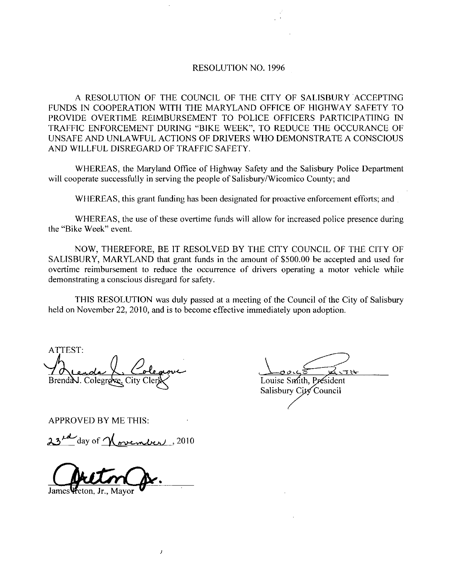## RESOLUTION NO. 1996

A RESOLUTION OF THE COUNCIL OF THE CITY OF SALISBURY ACCEPTING FUNDS IN COOPERATION WITH THE MARYLAND OFFICE OF HIGHWAY SAFETY TO PROVIDE OVERTIME REIMBURSEMENT 1O POLICE OFFICERS PARTICIPATIING TN TRAFFIC ENFORCEMENT DURING "BIKE WEEK", TO REDUCE THE OCCURANCE OF TRAFFIC ENFORCEMENT DURING "BIKE WEEK", TO REDUCE THE OCCURANCE OF<br>UNSAFE AND UNLAWFUL ACTIONS OF DRIVERS WHO DEMONSTRATE A CONSCIOUS UNSAFE AND UNLAWFUL ACTIONS OF DRIVERS<br>AND WILLFUL DISREGARD OF TRAFFIC SAFETY.

WHEREAS, the Maryland Office of Highway Safety and the Salisbury Police Department will cooperate successfully in serving the people of Salisbury/Wicomico County; and

WHEREAS, this grant funding has been designated for proactive enforcement efforts; and

WHEREAS, the use of these overtime funds will allow for increased police presence during the "Bike Week" event.

NOW, THEREFORE, BE IT RESOLVED BY THE CITY COUNCIL OF THE CITY OF SALISBURY, MARYLAND that grant funds in the amount of \$500.00 be accepted and used for overtime reimbursement to reduce the occurrence of drivers operating a motor vehicle while demonstrating a conscious disregard for safety

THIS RESOLUTION was duly passed at a meeting of the Council of the City of Salisbury held on November 22, 2010, and is to become effective immediately upon adoption.

SALISBU<br>
overtime<br>
demonstra<br>
TH<br>
held on No<br>
ATTEST:<br>
ATTEST:<br>
Drendal. wrc Brend N. Colegrove, City Cler X Coulse St. WHEREAS, the use of these ove<br>
"Bike Week" event.<br>
NOW, THEREFORE, BE IT RE<br>
NLISBURY, MARYLAND that grant<br>
ertime reimbursement to reduce the<br>
monstrating a conscious disregard for<br>
THIS RESOLUTION was duly It<br>
don Novemb

Salisbury City Council

APPROVED BY ME THIS

 $\overline{1}$ 

James Vreton, Jr., Mayor